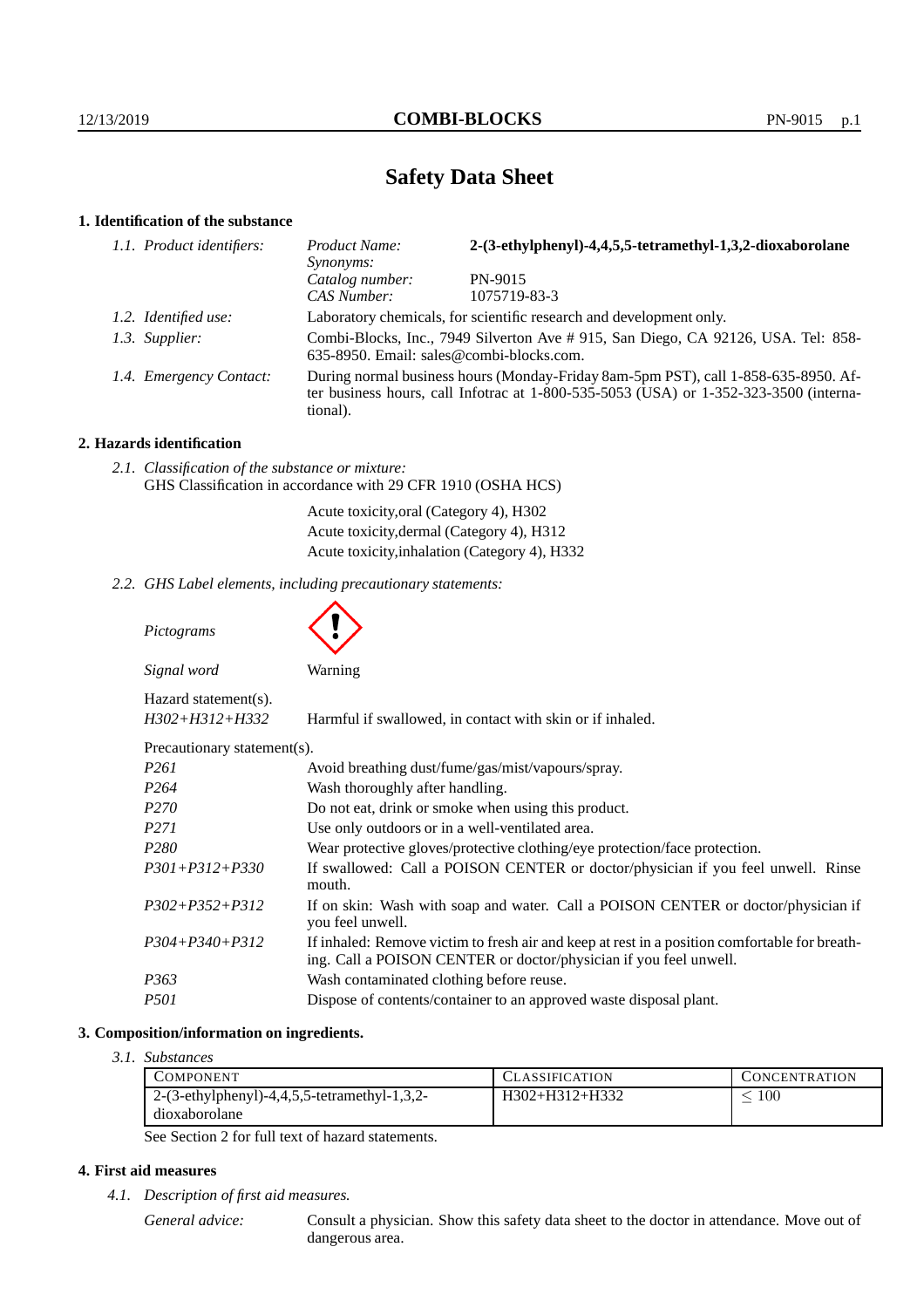# **Safety Data Sheet**

## **1. Identification of the substance**

| 1.1. Product identifiers: | Product Name:<br>Synonyms:                                                                                                                                                              | 2-(3-ethylphenyl)-4,4,5,5-tetramethyl-1,3,2-dioxaborolane           |
|---------------------------|-----------------------------------------------------------------------------------------------------------------------------------------------------------------------------------------|---------------------------------------------------------------------|
|                           | Catalog number:                                                                                                                                                                         | PN-9015                                                             |
|                           | CAS Number:                                                                                                                                                                             | 1075719-83-3                                                        |
| 1.2. Identified use:      |                                                                                                                                                                                         | Laboratory chemicals, for scientific research and development only. |
| 1.3. Supplier:            | Combi-Blocks, Inc., 7949 Silverton Ave # 915, San Diego, CA 92126, USA. Tel: 858-<br>635-8950. Email: sales@combi-blocks.com.                                                           |                                                                     |
| 1.4. Emergency Contact:   | During normal business hours (Monday-Friday 8am-5pm PST), call 1-858-635-8950. Af-<br>ter business hours, call Infotrac at 1-800-535-5053 (USA) or 1-352-323-3500 (interna-<br>tional). |                                                                     |

# **2. Hazards identification**

| 2.1. Classification of the substance or mixture:             |  |  |
|--------------------------------------------------------------|--|--|
| GHS Classification in accordance with 29 CFR 1910 (OSHA HCS) |  |  |
|                                                              |  |  |

Acute toxicity,oral (Category 4), H302 Acute toxicity,dermal (Category 4), H312 Acute toxicity,inhalation (Category 4), H332

*2.2. GHS Label elements, including precautionary statements:*

| Pictograms                                   |                                                                                                                                                                    |
|----------------------------------------------|--------------------------------------------------------------------------------------------------------------------------------------------------------------------|
| Signal word                                  | Warning                                                                                                                                                            |
| Hazard statement(s).<br>$H302 + H312 + H332$ | Harmful if swallowed, in contact with skin or if inhaled.                                                                                                          |
| Precautionary statement(s).                  |                                                                                                                                                                    |
| P <sub>261</sub>                             | Avoid breathing dust/fume/gas/mist/vapours/spray.                                                                                                                  |
| P <sub>264</sub>                             | Wash thoroughly after handling.                                                                                                                                    |
| <i>P270</i>                                  | Do not eat, drink or smoke when using this product.                                                                                                                |
| P <sub>271</sub>                             | Use only outdoors or in a well-ventilated area.                                                                                                                    |
| P <sub>280</sub>                             | Wear protective gloves/protective clothing/eye protection/face protection.                                                                                         |
| $P301 + P312 + P330$                         | If swallowed: Call a POISON CENTER or doctor/physician if you feel unwell. Rinse<br>mouth.                                                                         |
| $P302 + P352 + P312$                         | If on skin: Wash with soap and water. Call a POISON CENTER or doctor/physician if<br>you feel unwell.                                                              |
| $P304 + P340 + P312$                         | If inhaled: Remove victim to fresh air and keep at rest in a position comfortable for breath-<br>ing. Call a POISON CENTER or doctor/physician if you feel unwell. |
| P363                                         | Wash contaminated clothing before reuse.                                                                                                                           |
| <i>P501</i>                                  | Dispose of contents/container to an approved waste disposal plant.                                                                                                 |

### **3. Composition/information on ingredients.**

*3.1. Substances*

| COMPONENT                                      | <b>CLASSIFICATION</b> | <b>CONCENTRATION</b> |
|------------------------------------------------|-----------------------|----------------------|
| $2-(3-ethylphenyl)-4,4,5,5-tetramethyl-1,3,2-$ | H302+H312+H332        | 100                  |
| dioxaborolane                                  |                       |                      |

See Section 2 for full text of hazard statements.

# **4. First aid measures**

*4.1. Description of first aid measures.*

*General advice:* Consult a physician. Show this safety data sheet to the doctor in attendance. Move out of dangerous area.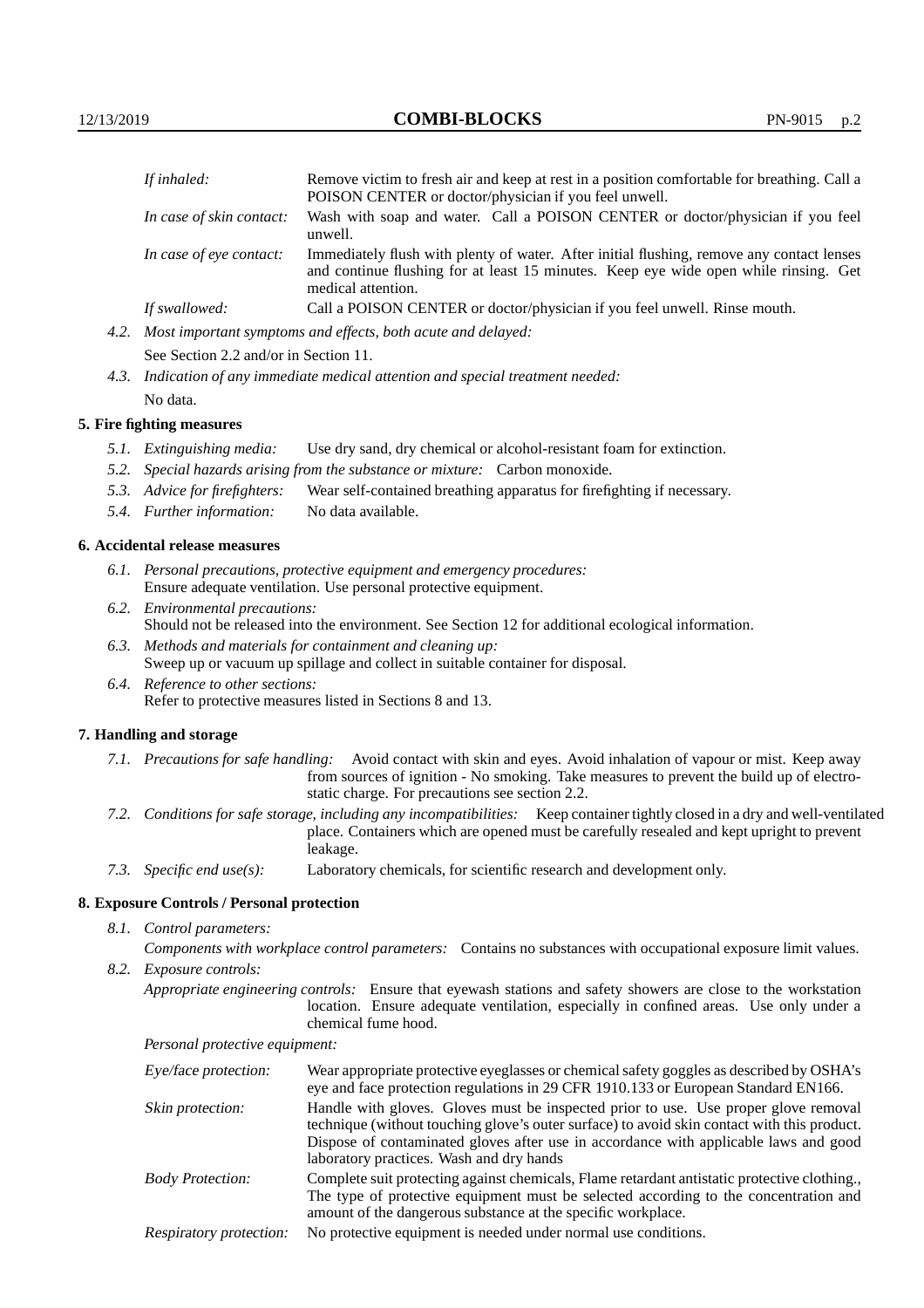|                                                                                      | If inhaled:   | Remove victim to fresh air and keep at rest in a position comfortable for breathing. Call a<br>POISON CENTER or doctor/physician if you feel unwell.                              |  |
|--------------------------------------------------------------------------------------|---------------|-----------------------------------------------------------------------------------------------------------------------------------------------------------------------------------|--|
| In case of skin contact:<br>unwell.<br>In case of eye contact:<br>medical attention. |               | Wash with soap and water. Call a POISON CENTER or doctor/physician if you feel                                                                                                    |  |
|                                                                                      |               | Immediately flush with plenty of water. After initial flushing, remove any contact lenses<br>and continue flushing for at least 15 minutes. Keep eye wide open while rinsing. Get |  |
|                                                                                      | If swallowed: | Call a POISON CENTER or doctor/physician if you feel unwell. Rinse mouth.                                                                                                         |  |
| 4.2.                                                                                 |               | Most important symptoms and effects, both acute and delayed:                                                                                                                      |  |

See Section 2.2 and/or in Section 11.

*4.3. Indication of any immediate medical attention and special treatment needed:* No data.

#### **5. Fire fighting measures**

- *5.1. Extinguishing media:* Use dry sand, dry chemical or alcohol-resistant foam for extinction.
- *5.2. Special hazards arising from the substance or mixture:* Carbon monoxide.
- *5.3. Advice for firefighters:* Wear self-contained breathing apparatus for firefighting if necessary.
- *5.4. Further information:* No data available.

### **6. Accidental release measures**

- *6.1. Personal precautions, protective equipment and emergency procedures:* Ensure adequate ventilation. Use personal protective equipment.
- *6.2. Environmental precautions:* Should not be released into the environment. See Section 12 for additional ecological information.
- *6.3. Methods and materials for containment and cleaning up:* Sweep up or vacuum up spillage and collect in suitable container for disposal.
- *6.4. Reference to other sections:* Refer to protective measures listed in Sections 8 and 13.

### **7. Handling and storage**

- *7.1. Precautions for safe handling:* Avoid contact with skin and eyes. Avoid inhalation of vapour or mist. Keep away from sources of ignition - No smoking. Take measures to prevent the build up of electrostatic charge. For precautions see section 2.2.
- *7.2. Conditions for safe storage, including any incompatibilities:* Keep container tightly closed in a dry and well-ventilated place. Containers which are opened must be carefully resealed and kept upright to prevent leakage.
- *7.3. Specific end use(s):* Laboratory chemicals, for scientific research and development only.

### **8. Exposure Controls / Personal protection**

- *8.1. Control parameters:*
	- *Components with workplace control parameters:* Contains no substances with occupational exposure limit values.
- *8.2. Exposure controls:*
	- *Appropriate engineering controls:* Ensure that eyewash stations and safety showers are close to the workstation location. Ensure adequate ventilation, especially in confined areas. Use only under a chemical fume hood.

*Personal protective equipment:*

| Eye/face protection:    | Wear appropriate protective eyeglasses or chemical safety goggles as described by OSHA's<br>eye and face protection regulations in 29 CFR 1910.133 or European Standard EN166.                                                                                                                                         |
|-------------------------|------------------------------------------------------------------------------------------------------------------------------------------------------------------------------------------------------------------------------------------------------------------------------------------------------------------------|
| Skin protection:        | Handle with gloves. Gloves must be inspected prior to use. Use proper glove removal<br>technique (without touching glove's outer surface) to avoid skin contact with this product.<br>Dispose of contaminated gloves after use in accordance with applicable laws and good<br>laboratory practices. Wash and dry hands |
| <b>Body Protection:</b> | Complete suit protecting against chemicals, Flame retardant antistatic protective clothing.<br>The type of protective equipment must be selected according to the concentration and<br>amount of the dangerous substance at the specific workplace.                                                                    |
| Respiratory protection: | No protective equipment is needed under normal use conditions.                                                                                                                                                                                                                                                         |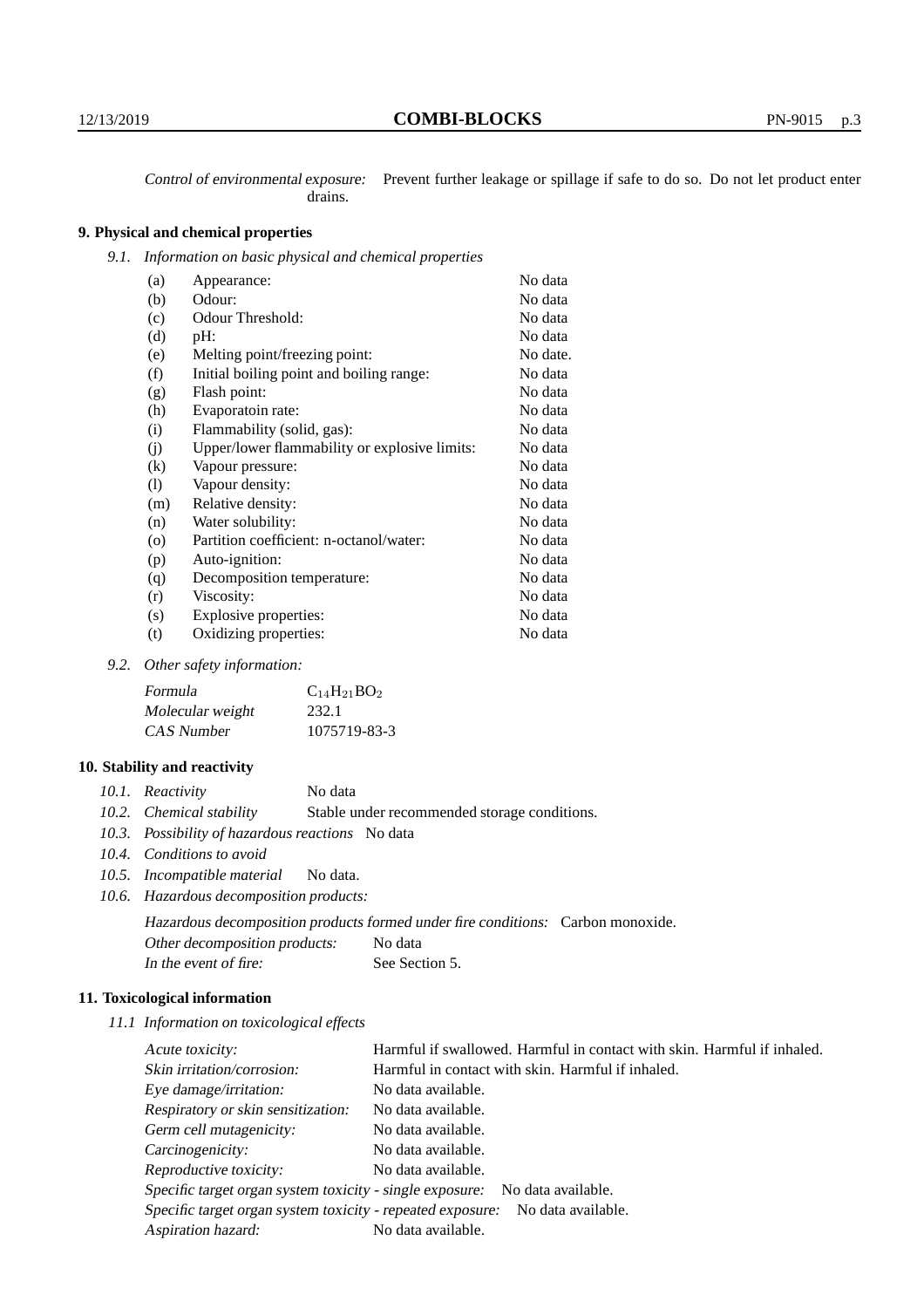Control of environmental exposure: Prevent further leakage or spillage if safe to do so. Do not let product enter drains.

# **9. Physical and chemical properties**

*9.1. Information on basic physical and chemical properties*

| (a)                        | Appearance:                                   | No data  |
|----------------------------|-----------------------------------------------|----------|
| (b)                        | Odour:                                        | No data  |
| (c)                        | Odour Threshold:                              | No data  |
| (d)                        | pH:                                           | No data  |
| (e)                        | Melting point/freezing point:                 | No date. |
| (f)                        | Initial boiling point and boiling range:      | No data  |
| (g)                        | Flash point:                                  | No data  |
| (h)                        | Evaporatoin rate:                             | No data  |
| (i)                        | Flammability (solid, gas):                    | No data  |
| (j)                        | Upper/lower flammability or explosive limits: | No data  |
| (k)                        | Vapour pressure:                              | No data  |
| $\left( \mathrm{l}\right)$ | Vapour density:                               | No data  |
| (m)                        | Relative density:                             | No data  |
| (n)                        | Water solubility:                             | No data  |
| $\circ$                    | Partition coefficient: n-octanol/water:       | No data  |
| (p)                        | Auto-ignition:                                | No data  |
| (q)                        | Decomposition temperature:                    | No data  |
| (r)                        | Viscosity:                                    | No data  |
| (s)                        | Explosive properties:                         | No data  |
| (t)                        | Oxidizing properties:                         | No data  |

### *9.2. Other safety information:*

| Formula          | $C_{14}H_{21}BO_2$ |
|------------------|--------------------|
| Molecular weight | 232.1              |
| CAS Number       | 1075719-83-3       |

### **10. Stability and reactivity**

|  | 10.1. Reactivity | No data |
|--|------------------|---------|
|--|------------------|---------|

- *10.2. Chemical stability* Stable under recommended storage conditions.
- *10.3. Possibility of hazardous reactions* No data
- *10.4. Conditions to avoid*
- *10.5. Incompatible material* No data.
- *10.6. Hazardous decomposition products:*

Hazardous decomposition products formed under fire conditions: Carbon monoxide. Other decomposition products: No data In the event of fire: See Section 5.

### **11. Toxicological information**

*11.1 Information on toxicological effects*

| Acute toxicity:                                                                  | Harmful if swallowed. Harmful in contact with skin. Harmful if inhaled.     |  |  |
|----------------------------------------------------------------------------------|-----------------------------------------------------------------------------|--|--|
| Skin irritation/corrosion:                                                       | Harmful in contact with skin. Harmful if inhaled.                           |  |  |
| Eye damage/irritation:                                                           | No data available.                                                          |  |  |
| Respiratory or skin sensitization:                                               | No data available.                                                          |  |  |
| Germ cell mutagenicity:                                                          | No data available.                                                          |  |  |
| Carcinogenicity:                                                                 | No data available.                                                          |  |  |
| Reproductive toxicity:                                                           | No data available.                                                          |  |  |
|                                                                                  | Specific target organ system toxicity - single exposure: No data available. |  |  |
| Specific target organ system toxicity - repeated exposure:<br>No data available. |                                                                             |  |  |
| Aspiration hazard:                                                               | No data available.                                                          |  |  |